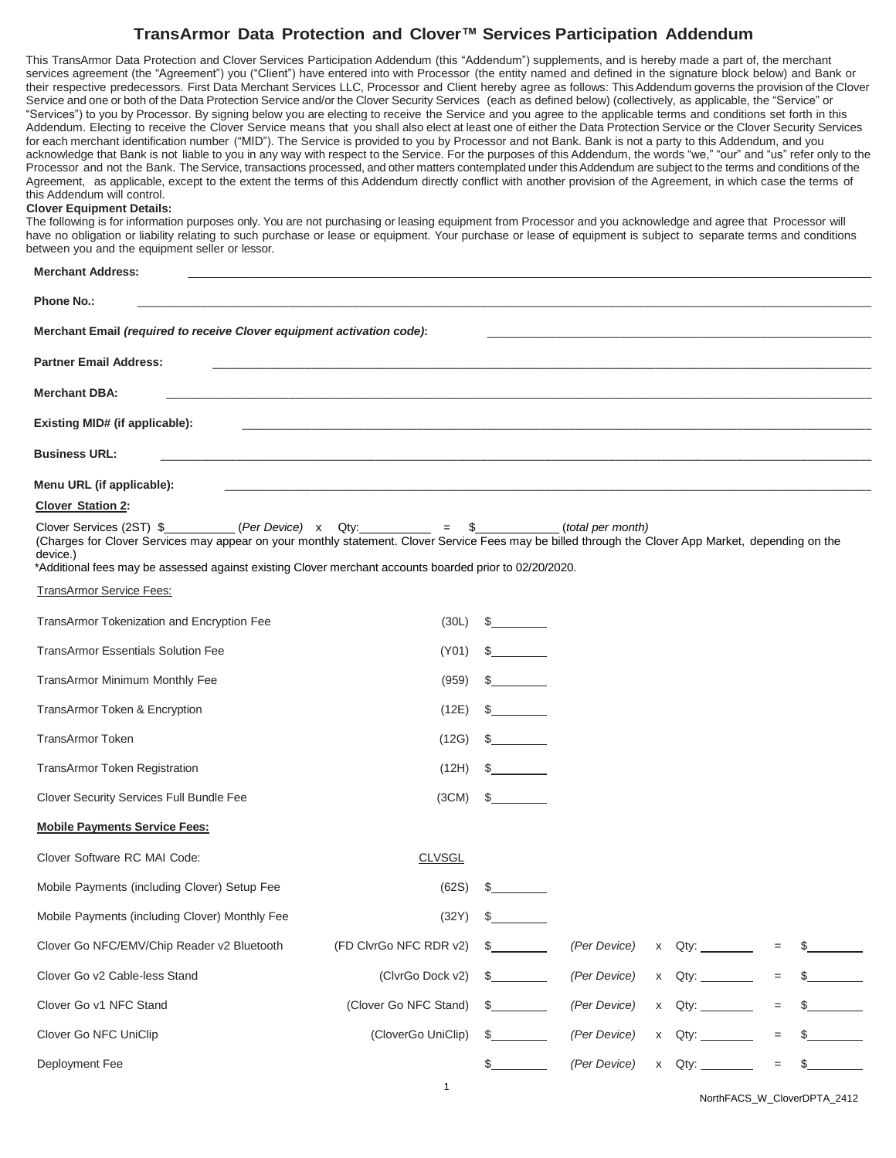This TransArmor Data Protection and Clover Services Participation Addendum (this "Addendum") supplements, and is hereby made a part of, the merchant services agreement (the "Agreement") you ("Client") have entered into with Processor (the entity named and defined in the signature block below) and Bank or their respective predecessors. First Data Merchant Services LLC, Processor and Client hereby agree as follows: ThisAddendum governs the provision of the Clover Service and one or both of the Data Protection Service and/or the Clover Security Services (each as defined below) (collectively, as applicable, the "Service" or "Services") to you by Processor. By signing below you are electing to receive the Service and you agree to the applicable terms and conditions set forth in this Addendum. Electing to receive the Clover Service means that you shall also elect at least one of either the Data Protection Service or the Clover Security Services for each merchant identification number ("MID"). The Service is provided to you by Processor and not Bank. Bank is not a party to this Addendum, and you acknowledge that Bank is not liable to you in any way with respect to the Service. For the purposes of this Addendum, the words "we," "our" and "us" refer only to the Processor and not the Bank. The Service, transactions processed, and other matters contemplated under this Addendum are subject to the terms and conditions of the Agreement, as applicable, except to the extent the terms of this Addendum directly conflict with another provision of the Agreement, in which case the terms of this Addendum will control.

#### **Clover Equipment Details:**

The following is for information purposes only. You are not purchasing or leasing equipment from Processor and you acknowledge and agree that Processor will have no obligation or liability relating to such purchase or lease or equipment. Your purchase or lease of equipment is subject to separate terms and conditions between you and the equipment seller or lessor.

| <b>Merchant Address:</b>                                                                                                                                                                                                                                                                                                                                                      |                        |                               |              |                  |     |    |  |  |  |  |  |  |
|-------------------------------------------------------------------------------------------------------------------------------------------------------------------------------------------------------------------------------------------------------------------------------------------------------------------------------------------------------------------------------|------------------------|-------------------------------|--------------|------------------|-----|----|--|--|--|--|--|--|
| <b>Phone No.:</b>                                                                                                                                                                                                                                                                                                                                                             |                        |                               |              |                  |     |    |  |  |  |  |  |  |
| Merchant Email (required to receive Clover equipment activation code):                                                                                                                                                                                                                                                                                                        |                        |                               |              |                  |     |    |  |  |  |  |  |  |
| <b>Partner Email Address:</b><br><u> 1989 - Johann Stoff, deutscher Stoff, der Stoff, der Stoff, der Stoff, der Stoff, der Stoff, der Stoff, der S</u>                                                                                                                                                                                                                        |                        |                               |              |                  |     |    |  |  |  |  |  |  |
| <b>Merchant DBA:</b>                                                                                                                                                                                                                                                                                                                                                          |                        |                               |              |                  |     |    |  |  |  |  |  |  |
| Existing MID# (if applicable):                                                                                                                                                                                                                                                                                                                                                |                        |                               |              |                  |     |    |  |  |  |  |  |  |
| <b>Business URL:</b>                                                                                                                                                                                                                                                                                                                                                          |                        |                               |              |                  |     |    |  |  |  |  |  |  |
|                                                                                                                                                                                                                                                                                                                                                                               |                        |                               |              |                  |     |    |  |  |  |  |  |  |
| Menu URL (if applicable):<br><b>Clover Station 2:</b>                                                                                                                                                                                                                                                                                                                         |                        |                               |              |                  |     |    |  |  |  |  |  |  |
| Clover Services (2ST) $\frac{1}{2}$ (Per Device) x Qty: ________ = \$________(total per month)<br>(Charges for Clover Services may appear on your monthly statement. Clover Service Fees may be billed through the Clover App Market, depending on the<br>device.)<br>*Additional fees may be assessed against existing Clover merchant accounts boarded prior to 02/20/2020. |                        |                               |              |                  |     |    |  |  |  |  |  |  |
| TransArmor Service Fees:                                                                                                                                                                                                                                                                                                                                                      |                        |                               |              |                  |     |    |  |  |  |  |  |  |
| TransArmor Tokenization and Encryption Fee                                                                                                                                                                                                                                                                                                                                    | (30L)                  | $\mathbb{S}$ and $\mathbb{S}$ |              |                  |     |    |  |  |  |  |  |  |
| <b>TransArmor Essentials Solution Fee</b>                                                                                                                                                                                                                                                                                                                                     | (Y01)                  | $\mathbb{S}$ and $\mathbb{S}$ |              |                  |     |    |  |  |  |  |  |  |
| TransArmor Minimum Monthly Fee                                                                                                                                                                                                                                                                                                                                                | (959)                  |                               |              |                  |     |    |  |  |  |  |  |  |
| TransArmor Token & Encryption                                                                                                                                                                                                                                                                                                                                                 | (12E)                  | $\mathbb{S}$                  |              |                  |     |    |  |  |  |  |  |  |
| <b>TransArmor Token</b>                                                                                                                                                                                                                                                                                                                                                       | (12G)                  | $\mathbb{S}$                  |              |                  |     |    |  |  |  |  |  |  |
| TransArmor Token Registration                                                                                                                                                                                                                                                                                                                                                 | (12H)                  |                               |              |                  |     |    |  |  |  |  |  |  |
| Clover Security Services Full Bundle Fee                                                                                                                                                                                                                                                                                                                                      | (3CM)                  | S.                            |              |                  |     |    |  |  |  |  |  |  |
| <b>Mobile Payments Service Fees:</b>                                                                                                                                                                                                                                                                                                                                          |                        |                               |              |                  |     |    |  |  |  |  |  |  |
| Clover Software RC MAI Code:                                                                                                                                                                                                                                                                                                                                                  | <b>CLVSGL</b>          |                               |              |                  |     |    |  |  |  |  |  |  |
| Mobile Payments (including Clover) Setup Fee                                                                                                                                                                                                                                                                                                                                  | (62S)                  | \$                            |              |                  |     |    |  |  |  |  |  |  |
| Mobile Payments (including Clover) Monthly Fee                                                                                                                                                                                                                                                                                                                                | (32Y)                  | \$                            |              |                  |     |    |  |  |  |  |  |  |
| Clover Go NFC/EMV/Chip Reader v2 Bluetooth                                                                                                                                                                                                                                                                                                                                    | (FD ClvrGo NFC RDR v2) | S.                            | (Per Device) |                  | $=$ |    |  |  |  |  |  |  |
| Clover Go v2 Cable-less Stand                                                                                                                                                                                                                                                                                                                                                 | (ClvrGo Dock v2)       | \$                            | (Per Device) |                  | $=$ |    |  |  |  |  |  |  |
| Clover Go v1 NFC Stand                                                                                                                                                                                                                                                                                                                                                        | (Clover Go NFC Stand)  | S.                            | (Per Device) | x Qty: _________ | $=$ |    |  |  |  |  |  |  |
| Clover Go NFC UniClip                                                                                                                                                                                                                                                                                                                                                         | (CloverGo UniClip)     |                               | (Per Device) | x Qty:           | $=$ |    |  |  |  |  |  |  |
| Deployment Fee                                                                                                                                                                                                                                                                                                                                                                |                        |                               | (Per Device) | x Qty: _________ | $=$ | \$ |  |  |  |  |  |  |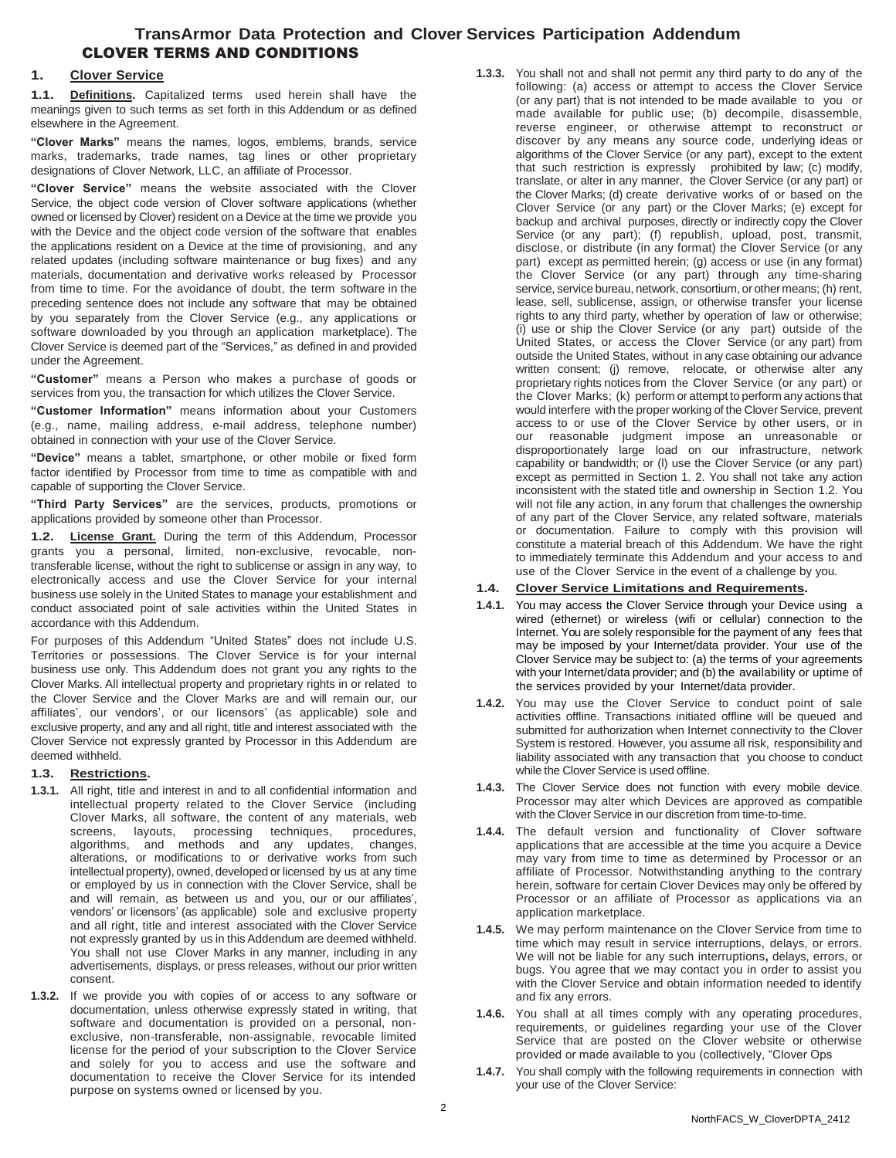## **TransArmor Data Protection and Clover Services Participation Addendum** CLOVER TERMS AND CONDITIONS

#### **1. Clover Service**

**1.1. Definitions.** Capitalized terms used herein shall have the meanings given to such terms as set forth in this Addendum or as defined elsewhere in the Agreement.

**"Clover Marks"** means the names, logos, emblems, brands, service marks, trademarks, trade names, tag lines or other proprietary designations of Clover Network, LLC, an affiliate of Processor.

**"Clover Service"** means the website associated with the Clover Service, the object code version of Clover software applications (whether owned or licensed by Clover) resident on a Device at the time we provide you with the Device and the object code version of the software that enables the applications resident on a Device at the time of provisioning, and any related updates (including software maintenance or bug fixes) and any materials, documentation and derivative works released by Processor from time to time. For the avoidance of doubt, the term software in the preceding sentence does not include any software that may be obtained by you separately from the Clover Service (e.g., any applications or software downloaded by you through an application marketplace). The Clover Service is deemed part of the "Services," as defined in and provided under the Agreement.

**"Customer"** means a Person who makes a purchase of goods or services from you, the transaction for which utilizes the Clover Service.

**"Customer Information"** means information about your Customers (e.g., name, mailing address, e-mail address, telephone number) obtained in connection with your use of the Clover Service.

**"Device"** means a tablet, smartphone, or other mobile or fixed form factor identified by Processor from time to time as compatible with and capable of supporting the Clover Service.

**"Third Party Services"** are the services, products, promotions or applications provided by someone other than Processor.

**1.2. License Grant.** During the term of this Addendum, Processor grants you a personal, limited, non-exclusive, revocable, nontransferable license, without the right to sublicense or assign in any way, to electronically access and use the Clover Service for your internal business use solely in the United States to manage your establishment and conduct associated point of sale activities within the United States in accordance with this Addendum.

For purposes of this Addendum "United States" does not include U.S. Territories or possessions. The Clover Service is for your internal business use only. This Addendum does not grant you any rights to the Clover Marks. All intellectual property and proprietary rights in or related to the Clover Service and the Clover Marks are and will remain our, our affiliates', our vendors', or our licensors' (as applicable) sole and exclusive property, and any and all right, title and interest associated with the Clover Service not expressly granted by Processor in this Addendum are deemed withheld.

#### **1.3. Restrictions.**

- **1.3.1.** All right, title and interest in and to all confidential information and intellectual property related to the Clover Service (including Clover Marks, all software, the content of any materials, web screens, layouts, processing techniques, procedures, algorithms, and methods and any updates, changes, alterations, or modifications to or derivative works from such intellectual property), owned, developed or licensed by us at any time or employed by us in connection with the Clover Service, shall be and will remain, as between us and you, our or our affiliates', vendors' or licensors' (as applicable) sole and exclusive property and all right, title and interest associated with the Clover Service not expressly granted by us in this Addendum are deemed withheld. You shall not use Clover Marks in any manner, including in any advertisements, displays, or press releases, without our prior written consent.
- **1.3.2.** If we provide you with copies of or access to any software or documentation, unless otherwise expressly stated in writing, that software and documentation is provided on a personal, nonexclusive, non-transferable, non-assignable, revocable limited license for the period of your subscription to the Clover Service and solely for you to access and use the software and documentation to receive the Clover Service for its intended purpose on systems owned or licensed by you.

**1.3.3.** You shall not and shall not permit any third party to do any of the following: (a) access or attempt to access the Clover Service (or any part) that is not intended to be made available to you or made available for public use; (b) decompile, disassemble, reverse engineer, or otherwise attempt to reconstruct or discover by any means any source code, underlying ideas or algorithms of the Clover Service (or any part), except to the extent that such restriction is expressly prohibited by law; (c) modify, translate, or alter in any manner, the Clover Service (or any part) or the Clover Marks; (d) create derivative works of or based on the Clover Service (or any part) or the Clover Marks; (e) except for backup and archival purposes, directly or indirectly copy the Clover Service (or any part); (f) republish, upload, post, transmit, disclose, or distribute (in any format) the Clover Service (or any part) except as permitted herein; (g) access or use (in any format) the Clover Service (or any part) through any time-sharing service, service bureau, network, consortium, or other means; (h) rent, lease, sell, sublicense, assign, or otherwise transfer your license rights to any third party, whether by operation of law or otherwise; (i) use or ship the Clover Service (or any part) outside of the United States, or access the Clover Service (or any part) from outside the United States, without in any case obtaining our advance written consent; (j) remove, relocate, or otherwise alter any proprietary rights notices from the Clover Service (or any part) or the Clover Marks; (k) perform or attempt to perform any actions that would interfere with the proper working of the Clover Service, prevent access to or use of the Clover Service by other users, or in our reasonable judgment impose an unreasonable or disproportionately large load on our infrastructure, network capability or bandwidth; or (l) use the Clover Service (or any part) except as permitted in Section 1. 2. You shall not take any action inconsistent with the stated title and ownership in Section 1.2. You will not file any action, in any forum that challenges the ownership of any part of the Clover Service, any related software, materials or documentation. Failure to comply with this provision will constitute a material breach of this Addendum. We have the right to immediately terminate this Addendum and your access to and use of the Clover Service in the event of a challenge by you.

#### **1.4. Clover Service Limitations and Requirements.**

- **1.4.1.** You may access the Clover Service through your Device using a wired (ethernet) or wireless (wifi or cellular) connection to the Internet. You are solely responsible for the payment of any fees that may be imposed by your Internet/data provider. Your use of the Clover Service may be subject to: (a) the terms of your agreements with your Internet/data provider; and (b) the availability or uptime of the services provided by your Internet/data provider.
- **1.4.2.** You may use the Clover Service to conduct point of sale activities offline. Transactions initiated offline will be queued and submitted for authorization when Internet connectivity to the Clover System is restored. However, you assume all risk, responsibility and liability associated with any transaction that you choose to conduct while the Clover Service is used offline.
- **1.4.3.** The Clover Service does not function with every mobile device. Processor may alter which Devices are approved as compatible with the Clover Service in our discretion from time-to-time.
- **1.4.4.** The default version and functionality of Clover software applications that are accessible at the time you acquire a Device may vary from time to time as determined by Processor or an affiliate of Processor. Notwithstanding anything to the contrary herein, software for certain Clover Devices may only be offered by Processor or an affiliate of Processor as applications via an application marketplace.
- **1.4.5.** We may perform maintenance on the Clover Service from time to time which may result in service interruptions, delays, or errors. We will not be liable for any such interruptions**,** delays, errors, or bugs. You agree that we may contact you in order to assist you with the Clover Service and obtain information needed to identify and fix any errors.
- **1.4.6.** You shall at all times comply with any operating procedures, requirements, or guidelines regarding your use of the Clover Service that are posted on the Clover website or otherwise provided or made available to you (collectively, "Clover Ops
- **1.4.7.** You shall comply with the following requirements in connection with your use of the Clover Service: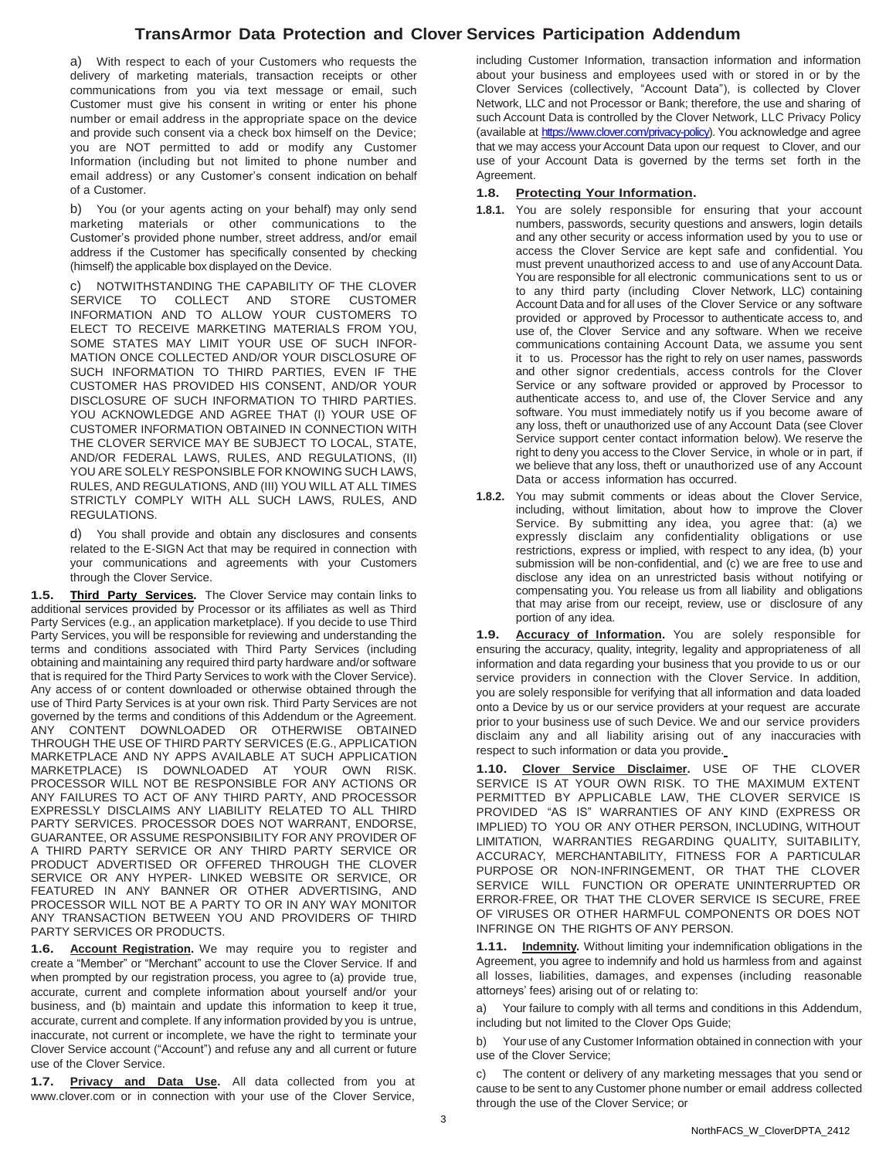a) With respect to each of your Customers who requests the delivery of marketing materials, transaction receipts or other communications from you via text message or email, such Customer must give his consent in writing or enter his phone number or email address in the appropriate space on the device and provide such consent via a check box himself on the Device; you are NOT permitted to add or modify any Customer Information (including but not limited to phone number and email address) or any Customer's consent indication on behalf of a Customer.

b) You (or your agents acting on your behalf) may only send marketing materials or other communications to the Customer's provided phone number, street address, and/or email address if the Customer has specifically consented by checking (himself) the applicable box displayed on the Device.

c) NOTWITHSTANDING THE CAPABILITY OF THE CLOVER SERVICE TO COLLECT AND STORE CUSTOMER INFORMATION AND TO ALLOW YOUR CUSTOMERS TO ELECT TO RECEIVE MARKETING MATERIALS FROM YOU, SOME STATES MAY LIMIT YOUR USE OF SUCH INFOR-MATION ONCE COLLECTED AND/OR YOUR DISCLOSURE OF SUCH INFORMATION TO THIRD PARTIES, EVEN IF THE CUSTOMER HAS PROVIDED HIS CONSENT, AND/OR YOUR DISCLOSURE OF SUCH INFORMATION TO THIRD PARTIES. YOU ACKNOWLEDGE AND AGREE THAT (I) YOUR USE OF CUSTOMER INFORMATION OBTAINED IN CONNECTION WITH THE CLOVER SERVICE MAY BE SUBJECT TO LOCAL, STATE, AND/OR FEDERAL LAWS, RULES, AND REGULATIONS, (II) YOU ARE SOLELY RESPONSIBLE FOR KNOWING SUCH LAWS, RULES, AND REGULATIONS, AND (III) YOU WILL AT ALL TIMES STRICTLY COMPLY WITH ALL SUCH LAWS, RULES, AND REGULATIONS.

d) You shall provide and obtain any disclosures and consents related to the E-SIGN Act that may be required in connection with your communications and agreements with your Customers through the Clover Service.

**1.5. Third Party Services.** The Clover Service may contain links to additional services provided by Processor or its affiliates as well as Third Party Services (e.g., an application marketplace). If you decide to use Third Party Services, you will be responsible for reviewing and understanding the terms and conditions associated with Third Party Services (including obtaining and maintaining any required third party hardware and/or software that is required for the Third Party Services to work with the Clover Service). Any access of or content downloaded or otherwise obtained through the use of Third Party Services is at your own risk. Third Party Services are not governed by the terms and conditions of this Addendum or the Agreement. ANY CONTENT DOWNLOADED OR OTHERWISE OBTAINED THROUGH THE USE OF THIRD PARTY SERVICES (E.G., APPLICATION MARKETPLACE AND NY APPS AVAILABLE AT SUCH APPLICATION MARKETPLACE) IS DOWNLOADED AT YOUR OWN RISK. PROCESSOR WILL NOT BE RESPONSIBLE FOR ANY ACTIONS OR ANY FAILURES TO ACT OF ANY THIRD PARTY, AND PROCESSOR EXPRESSLY DISCLAIMS ANY LIABILITY RELATED TO ALL THIRD PARTY SERVICES. PROCESSOR DOES NOT WARRANT, ENDORSE, GUARANTEE, OR ASSUME RESPONSIBILITY FOR ANY PROVIDER OF A THIRD PARTY SERVICE OR ANY THIRD PARTY SERVICE OR PRODUCT ADVERTISED OR OFFERED THROUGH THE CLOVER SERVICE OR ANY HYPER- LINKED WEBSITE OR SERVICE, OR FEATURED IN ANY BANNER OR OTHER ADVERTISING, AND PROCESSOR WILL NOT BE A PARTY TO OR IN ANY WAY MONITOR ANY TRANSACTION BETWEEN YOU AND PROVIDERS OF THIRD PARTY SERVICES OR PRODUCTS.

**1.6. Account Registration.** We may require you to register and create a "Member" or "Merchant" account to use the Clover Service. If and when prompted by our registration process, you agree to (a) provide true, accurate, current and complete information about yourself and/or your business, and (b) maintain and update this information to keep it true, accurate, current and complete. If any information provided by you is untrue, inaccurate, not current or incomplete, we have the right to terminate your Clover Service account ("Account") and refuse any and all current or future use of the Clover Service.

**1.7. Privacy and Data Use.** All data collected from you at [www.clover.com](http://www.clover.com/) or in connection with your use of the Clover Service,

including Customer Information, transaction information and information about your business and employees used with or stored in or by the Clover Services (collectively, "Account Data"), is collected by Clover Network, LLC and not Processor or Bank; therefore, the use and sharing of such Account Data is controlled by the Clover Network, LLC Privacy Policy (available at [https://www.clover.com/privacy-policy\).](https://www.clover.com/privacy-policy) You acknowledge and agree that we may access your Account Data upon our request to Clover, and our use of your Account Data is governed by the terms set forth in the Agreement.

#### **1.8. Protecting Your Information.**

- **1.8.1.** You are solely responsible for ensuring that your account numbers, passwords, security questions and answers, login details and any other security or access information used by you to use or access the Clover Service are kept safe and confidential. You must prevent unauthorized access to and use of anyAccount Data. You are responsible for all electronic communications sent to us or to any third party (including Clover Network, LLC) containing Account Data and for all uses of the Clover Service or any software provided or approved by Processor to authenticate access to, and use of, the Clover Service and any software. When we receive communications containing Account Data, we assume you sent it to us. Processor has the right to rely on user names, passwords and other signor credentials, access controls for the Clover Service or any software provided or approved by Processor to authenticate access to, and use of, the Clover Service and any software. You must immediately notify us if you become aware of any loss, theft or unauthorized use of any Account Data (see Clover Service support center contact information below). We reserve the right to deny you access to the Clover Service, in whole or in part, if we believe that any loss, theft or unauthorized use of any Account Data or access information has occurred.
- **1.8.2.** You may submit comments or ideas about the Clover Service, including, without limitation, about how to improve the Clover Service. By submitting any idea, you agree that: (a) we expressly disclaim any confidentiality obligations or use restrictions, express or implied, with respect to any idea, (b) your submission will be non-confidential, and (c) we are free to use and disclose any idea on an unrestricted basis without notifying or compensating you. You release us from all liability and obligations that may arise from our receipt, review, use or disclosure of any portion of any idea.

**1.9. Accuracy of Information.** You are solely responsible for ensuring the accuracy, quality, integrity, legality and appropriateness of all information and data regarding your business that you provide to us or our service providers in connection with the Clover Service. In addition, you are solely responsible for verifying that all information and data loaded onto a Device by us or our service providers at your request are accurate prior to your business use of such Device. We and our service providers disclaim any and all liability arising out of any inaccuracies with respect to such information or data you provide.

**1.10. Clover Service Disclaimer.** USE OF THE CLOVER SERVICE IS AT YOUR OWN RISK. TO THE MAXIMUM EXTENT PERMITTED BY APPLICABLE LAW, THE CLOVER SERVICE IS PROVIDED "AS IS" WARRANTIES OF ANY KIND (EXPRESS OR IMPLIED) TO YOU OR ANY OTHER PERSON, INCLUDING, WITHOUT LIMITATION, WARRANTIES REGARDING QUALITY, SUITABILITY, ACCURACY, MERCHANTABILITY, FITNESS FOR A PARTICULAR PURPOSE OR NON-INFRINGEMENT, OR THAT THE CLOVER SERVICE WILL FUNCTION OR OPERATE UNINTERRUPTED OR ERROR-FREE, OR THAT THE CLOVER SERVICE IS SECURE, FREE OF VIRUSES OR OTHER HARMFUL COMPONENTS OR DOES NOT INFRINGE ON THE RIGHTS OF ANY PERSON.

**1.11. Indemnity.** Without limiting your indemnification obligations in the Agreement, you agree to indemnify and hold us harmless from and against all losses, liabilities, damages, and expenses (including reasonable attorneys' fees) arising out of or relating to:

a) Your failure to comply with all terms and conditions in this Addendum, including but not limited to the Clover Ops Guide;

b) Your use of any Customer Information obtained in connection with your use of the Clover Service;

c) The content or delivery of any marketing messages that you send or cause to be sent to any Customer phone number or email address collected through the use of the Clover Service; or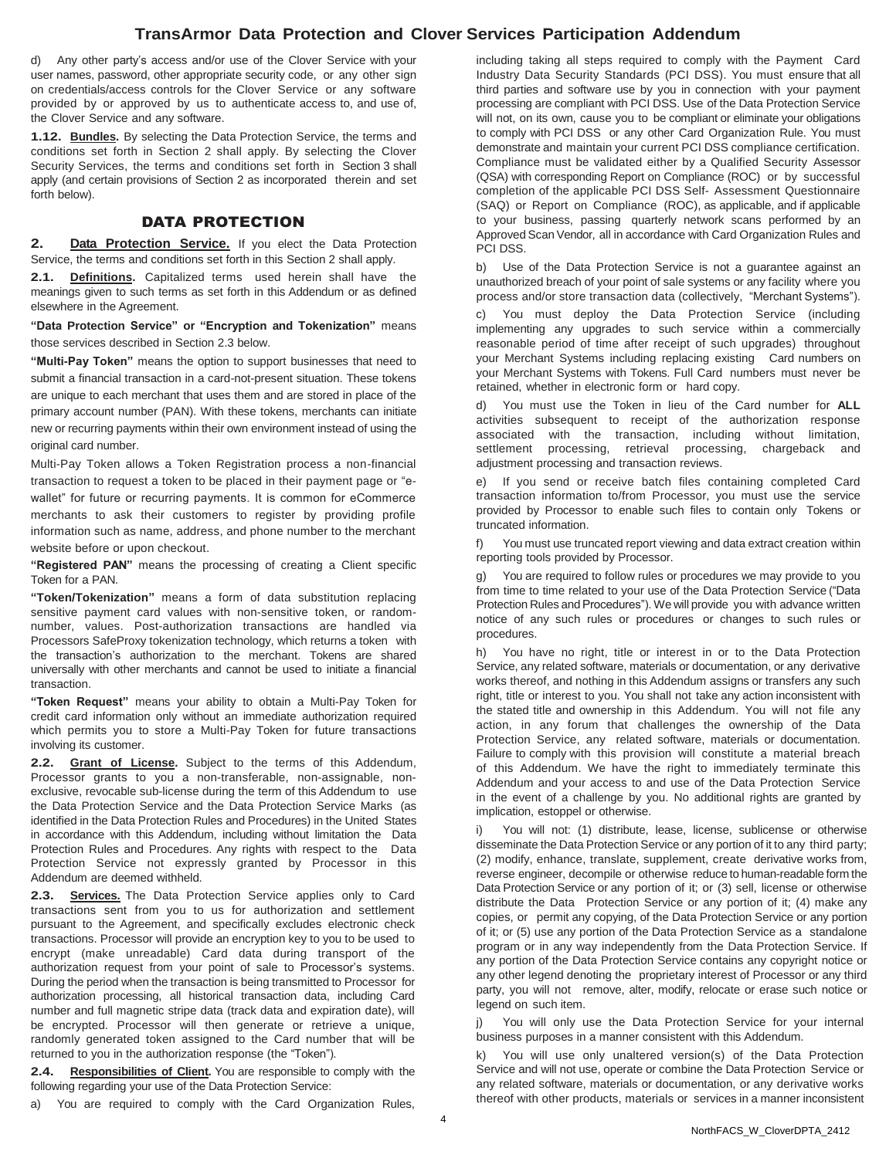d) Any other party's access and/or use of the Clover Service with your user names, password, other appropriate security code, or any other sign on credentials/access controls for the Clover Service or any software provided by or approved by us to authenticate access to, and use of, the Clover Service and any software.

**1.12. Bundles.** By selecting the Data Protection Service, the terms and conditions set forth in Section 2 shall apply. By selecting the Clover Security Services, the terms and conditions set forth in Section 3 shall apply (and certain provisions of Section 2 as incorporated therein and set forth below).

### DATA PROTECTION

**2. Data Protection Service.** If you elect the Data Protection Service, the terms and conditions set forth in this Section 2 shall apply.

**2.1. Definitions.** Capitalized terms used herein shall have the meanings given to such terms as set forth in this Addendum or as defined elsewhere in the Agreement.

**"Data Protection Service" or "Encryption and Tokenization"** means those services described in Section 2.3 below.

**"Multi-Pay Token"** means the option to support businesses that need to submit a financial transaction in a card-not-present situation. These tokens are unique to each merchant that uses them and are stored in place of the primary account number (PAN). With these tokens, merchants can initiate new or recurring payments within their own environment instead of using the original card number.

Multi-Pay Token allows a Token Registration process a non-financial transaction to request a token to be placed in their payment page or "ewallet" for future or recurring payments. It is common for eCommerce merchants to ask their customers to register by providing profile information such as name, address, and phone number to the merchant website before or upon checkout.

**"Registered PAN"** means the processing of creating a Client specific Token for a PAN.

**"Token/Tokenization"** means a form of data substitution replacing sensitive payment card values with non-sensitive token, or randomnumber, values. Post-authorization transactions are handled via Processors SafeProxy tokenization technology, which returns a token with the transaction's authorization to the merchant. Tokens are shared universally with other merchants and cannot be used to initiate a financial transaction.

**"Token Request"** means your ability to obtain a Multi-Pay Token for credit card information only without an immediate authorization required which permits you to store a Multi-Pay Token for future transactions involving its customer.

**2.2. Grant of License.** Subject to the terms of this Addendum, Processor grants to you a non-transferable, non-assignable, nonexclusive, revocable sub-license during the term of this Addendum to use the Data Protection Service and the Data Protection Service Marks (as identified in the Data Protection Rules and Procedures) in the United States in accordance with this Addendum, including without limitation the Data Protection Rules and Procedures. Any rights with respect to the Data Protection Service not expressly granted by Processor in this Addendum are deemed withheld.

**2.3. Services.** The Data Protection Service applies only to Card transactions sent from you to us for authorization and settlement pursuant to the Agreement, and specifically excludes electronic check transactions. Processor will provide an encryption key to you to be used to encrypt (make unreadable) Card data during transport of the authorization request from your point of sale to Processor's systems. During the period when the transaction is being transmitted to Processor for authorization processing, all historical transaction data, including Card number and full magnetic stripe data (track data and expiration date), will be encrypted. Processor will then generate or retrieve a unique, randomly generated token assigned to the Card number that will be returned to you in the authorization response (the "Token").

**2.4. Responsibilities of Client.** You are responsible to comply with the following regarding your use of the Data Protection Service:

a) You are required to comply with the Card Organization Rules,

including taking all steps required to comply with the Payment Card Industry Data Security Standards (PCI DSS). You must ensure that all third parties and software use by you in connection with your payment processing are compliant with PCI DSS. Use of the Data Protection Service will not, on its own, cause you to be compliant or eliminate your obligations to comply with PCI DSS or any other Card Organization Rule. You must demonstrate and maintain your current PCI DSS compliance certification. Compliance must be validated either by a Qualified Security Assessor (QSA) with corresponding Report on Compliance (ROC) or by successful completion of the applicable PCI DSS Self- Assessment Questionnaire (SAQ) or Report on Compliance (ROC), as applicable, and if applicable to your business, passing quarterly network scans performed by an Approved Scan Vendor, all in accordance with Card Organization Rules and PCI DSS.

b) Use of the Data Protection Service is not a guarantee against an unauthorized breach of your point of sale systems or any facility where you process and/or store transaction data (collectively, "Merchant Systems").

c) You must deploy the Data Protection Service (including implementing any upgrades to such service within a commercially reasonable period of time after receipt of such upgrades) throughout your Merchant Systems including replacing existing Card numbers on your Merchant Systems with Tokens. Full Card numbers must never be retained, whether in electronic form or hard copy.

You must use the Token in lieu of the Card number for **ALL** activities subsequent to receipt of the authorization response associated with the transaction, including without limitation, settlement processing, retrieval processing, chargeback and adjustment processing and transaction reviews.

e) If you send or receive batch files containing completed Card transaction information to/from Processor, you must use the service provided by Processor to enable such files to contain only Tokens or truncated information.

f) You must use truncated report viewing and data extract creation within reporting tools provided by Processor.

g) You are required to follow rules or procedures we may provide to you from time to time related to your use of the Data Protection Service ("Data Protection Rules and Procedures"). We will provide you with advance written notice of any such rules or procedures or changes to such rules or procedures.

h) You have no right, title or interest in or to the Data Protection Service, any related software, materials or documentation, or any derivative works thereof, and nothing in this Addendum assigns or transfers any such right, title or interest to you. You shall not take any action inconsistent with the stated title and ownership in this Addendum. You will not file any action, in any forum that challenges the ownership of the Data Protection Service, any related software, materials or documentation. Failure to comply with this provision will constitute a material breach of this Addendum. We have the right to immediately terminate this Addendum and your access to and use of the Data Protection Service in the event of a challenge by you. No additional rights are granted by implication, estoppel or otherwise.

i) You will not: (1) distribute, lease, license, sublicense or otherwise disseminate the Data Protection Service or any portion of it to any third party; (2) modify, enhance, translate, supplement, create derivative works from, reverse engineer, decompile or otherwise reduce to human-readable form the Data Protection Service or any portion of it; or (3) sell, license or otherwise distribute the Data Protection Service or any portion of it; (4) make any copies, or permit any copying, of the Data Protection Service or any portion of it; or (5) use any portion of the Data Protection Service as a standalone program or in any way independently from the Data Protection Service. If any portion of the Data Protection Service contains any copyright notice or any other legend denoting the proprietary interest of Processor or any third party, you will not remove, alter, modify, relocate or erase such notice or legend on such item.

You will only use the Data Protection Service for your internal business purposes in a manner consistent with this Addendum.

k) You will use only unaltered version(s) of the Data Protection Service and will not use, operate or combine the Data Protection Service or any related software, materials or documentation, or any derivative works thereof with other products, materials or services in a manner inconsistent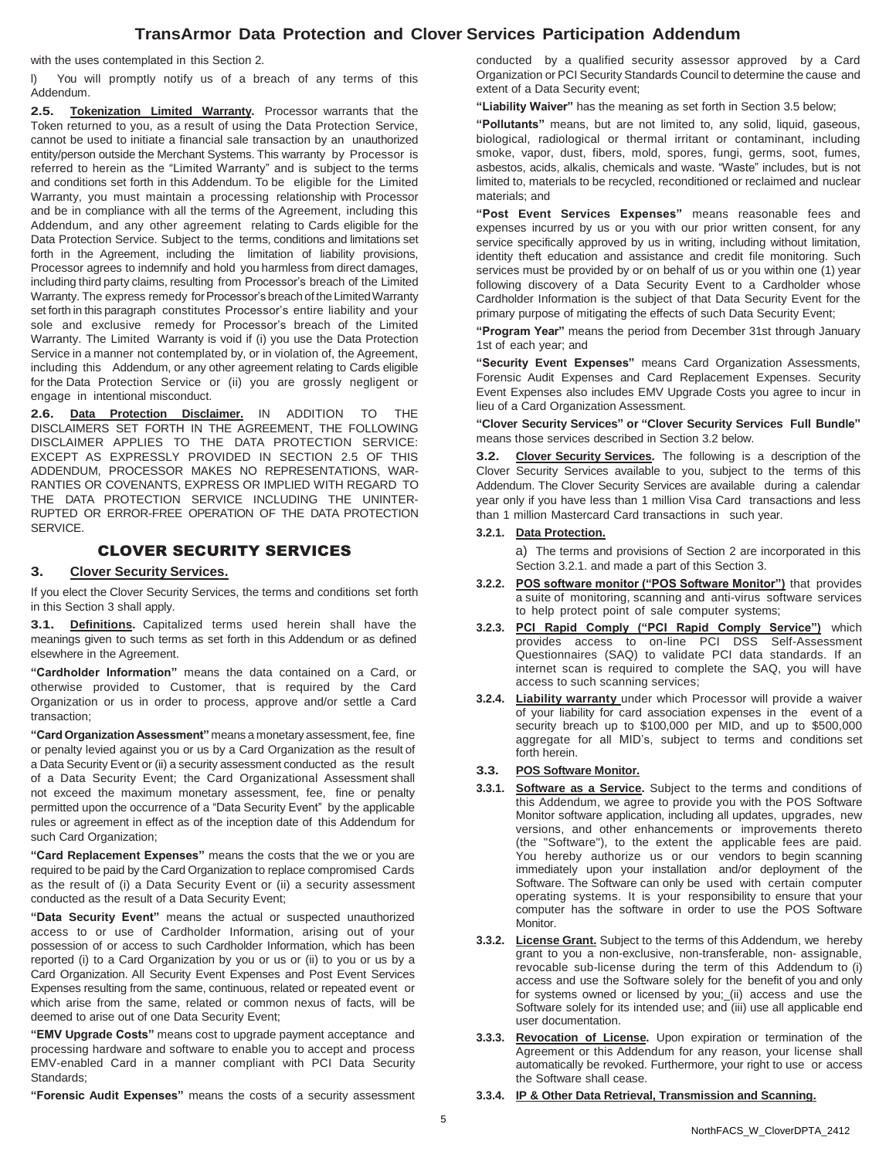with the uses contemplated in this Section 2.

l) You will promptly notify us of a breach of any terms of this Addendum.

**2.5. Tokenization Limited Warranty.** Processor warrants that the Token returned to you, as a result of using the Data Protection Service, cannot be used to initiate a financial sale transaction by an unauthorized entity/person outside the Merchant Systems. This warranty by Processor is referred to herein as the "Limited Warranty" and is subject to the terms and conditions set forth in this Addendum. To be eligible for the Limited Warranty, you must maintain a processing relationship with Processor and be in compliance with all the terms of the Agreement, including this Addendum, and any other agreement relating to Cards eligible for the Data Protection Service. Subject to the terms, conditions and limitations set forth in the Agreement, including the limitation of liability provisions, Processor agrees to indemnify and hold you harmless from direct damages, including third party claims, resulting from Processor's breach of the Limited Warranty. The express remedy for Processor's breach of the Limited Warranty set forth in this paragraph constitutes Processor's entire liability and your sole and exclusive remedy for Processor's breach of the Limited Warranty. The Limited Warranty is void if (i) you use the Data Protection Service in a manner not contemplated by, or in violation of, the Agreement, including this Addendum, or any other agreement relating to Cards eligible for the Data Protection Service or (ii) you are grossly negligent or engage in intentional misconduct.

**2.6. Data Protection Disclaimer.** IN ADDITION TO THE DISCLAIMERS SET FORTH IN THE AGREEMENT, THE FOLLOWING DISCLAIMER APPLIES TO THE DATA PROTECTION SERVICE: EXCEPT AS EXPRESSLY PROVIDED IN SECTION 2.5 OF THIS ADDENDUM, PROCESSOR MAKES NO REPRESENTATIONS, WAR-RANTIES OR COVENANTS, EXPRESS OR IMPLIED WITH REGARD TO THE DATA PROTECTION SERVICE INCLUDING THE UNINTER-RUPTED OR ERROR-FREE OPERATION OF THE DATA PROTECTION SERVICE.

## CLOVER SECURITY SERVICES

## **3. Clover Security Services.**

If you elect the Clover Security Services, the terms and conditions set forth in this Section 3 shall apply.

**3.1. Definitions.** Capitalized terms used herein shall have the meanings given to such terms as set forth in this Addendum or as defined elsewhere in the Agreement.

**"Cardholder Information"** means the data contained on a Card, or otherwise provided to Customer, that is required by the Card Organization or us in order to process, approve and/or settle a Card transaction;

**"Card Organization Assessment"** means a monetary assessment, fee, fine or penalty levied against you or us by a Card Organization as the result of a Data Security Event or (ii) a security assessment conducted as the result of a Data Security Event; the Card Organizational Assessment shall not exceed the maximum monetary assessment, fee, fine or penalty permitted upon the occurrence of a "Data Security Event" by the applicable rules or agreement in effect as of the inception date of this Addendum for such Card Organization;

**"Card Replacement Expenses"** means the costs that the we or you are required to be paid by the Card Organization to replace compromised Cards as the result of (i) a Data Security Event or (ii) a security assessment conducted as the result of a Data Security Event;

**"Data Security Event"** means the actual or suspected unauthorized access to or use of Cardholder Information, arising out of your possession of or access to such Cardholder Information, which has been reported (i) to a Card Organization by you or us or (ii) to you or us by a Card Organization. All Security Event Expenses and Post Event Services Expenses resulting from the same, continuous, related or repeated event or which arise from the same, related or common nexus of facts, will be deemed to arise out of one Data Security Event;

**"EMV Upgrade Costs"** means cost to upgrade payment acceptance and processing hardware and software to enable you to accept and process EMV-enabled Card in a manner compliant with PCI Data Security Standards;

**"Forensic Audit Expenses"** means the costs of a security assessment

conducted by a qualified security assessor approved by a Card Organization or PCI Security Standards Council to determine the cause and extent of a Data Security event;

**"Liability Waiver"** has the meaning as set forth in Section 3.5 below;

**"Pollutants"** means, but are not limited to, any solid, liquid, gaseous, biological, radiological or thermal irritant or contaminant, including smoke, vapor, dust, fibers, mold, spores, fungi, germs, soot, fumes, asbestos, acids, alkalis, chemicals and waste. "Waste" includes, but is not limited to, materials to be recycled, reconditioned or reclaimed and nuclear materials; and

**"Post Event Services Expenses"** means reasonable fees and expenses incurred by us or you with our prior written consent, for any service specifically approved by us in writing, including without limitation, identity theft education and assistance and credit file monitoring. Such services must be provided by or on behalf of us or you within one (1) year following discovery of a Data Security Event to a Cardholder whose Cardholder Information is the subject of that Data Security Event for the primary purpose of mitigating the effects of such Data Security Event;

**"Program Year"** means the period from December 31st through January 1st of each year; and

**"Security Event Expenses"** means Card Organization Assessments, Forensic Audit Expenses and Card Replacement Expenses. Security Event Expenses also includes EMV Upgrade Costs you agree to incur in lieu of a Card Organization Assessment.

**"Clover Security Services" or "Clover Security Services Full Bundle"** means those services described in Section 3.2 below.

**3.2. Clover Security Services.** The following is a description of the Clover Security Services available to you, subject to the terms of this Addendum. The Clover Security Services are available during a calendar year only if you have less than 1 million Visa Card transactions and less than 1 million Mastercard Card transactions in such year.

#### **3.2.1. Data Protection.**

a) The terms and provisions of Section 2 are incorporated in this Section 3.2.1. and made a part of this Section 3.

- **3.2.2. POS software monitor ("POS Software Monitor")** that provides a suite of monitoring, scanning and anti-virus software services to help protect point of sale computer systems;
- **3.2.3. PCI Rapid Comply ("PCI Rapid Comply Service")** which provides access to on-line PCI DSS Self-Assessment Questionnaires (SAQ) to validate PCI data standards. If an internet scan is required to complete the SAQ, you will have access to such scanning services;
- **3.2.4. Liability warranty** under which Processor will provide a waiver of your liability for card association expenses in the event of a security breach up to \$100,000 per MID, and up to \$500,000 aggregate for all MID's, subject to terms and conditions set forth herein.

#### **3.3. POS Software Monitor.**

- **3.3.1. Software as a Service.** Subject to the terms and conditions of this Addendum, we agree to provide you with the POS Software Monitor software application, including all updates, upgrades, new versions, and other enhancements or improvements thereto (the "Software"), to the extent the applicable fees are paid. You hereby authorize us or our vendors to begin scanning immediately upon your installation and/or deployment of the Software. The Software can only be used with certain computer operating systems. It is your responsibility to ensure that your computer has the software in order to use the POS Software Monitor.
- **3.3.2. License Grant.** Subject to the terms of this Addendum, we hereby grant to you a non-exclusive, non-transferable, non- assignable, revocable sub-license during the term of this Addendum to (i) access and use the Software solely for the benefit of you and only for systems owned or licensed by you; (ii) access and use the Software solely for its intended use; and (iii) use all applicable end user documentation.
- **3.3.3. Revocation of License.** Upon expiration or termination of the Agreement or this Addendum for any reason, your license shall automatically be revoked. Furthermore, your right to use or access the Software shall cease.

#### **3.3.4. IP & Other Data Retrieval, Transmission and Scanning.**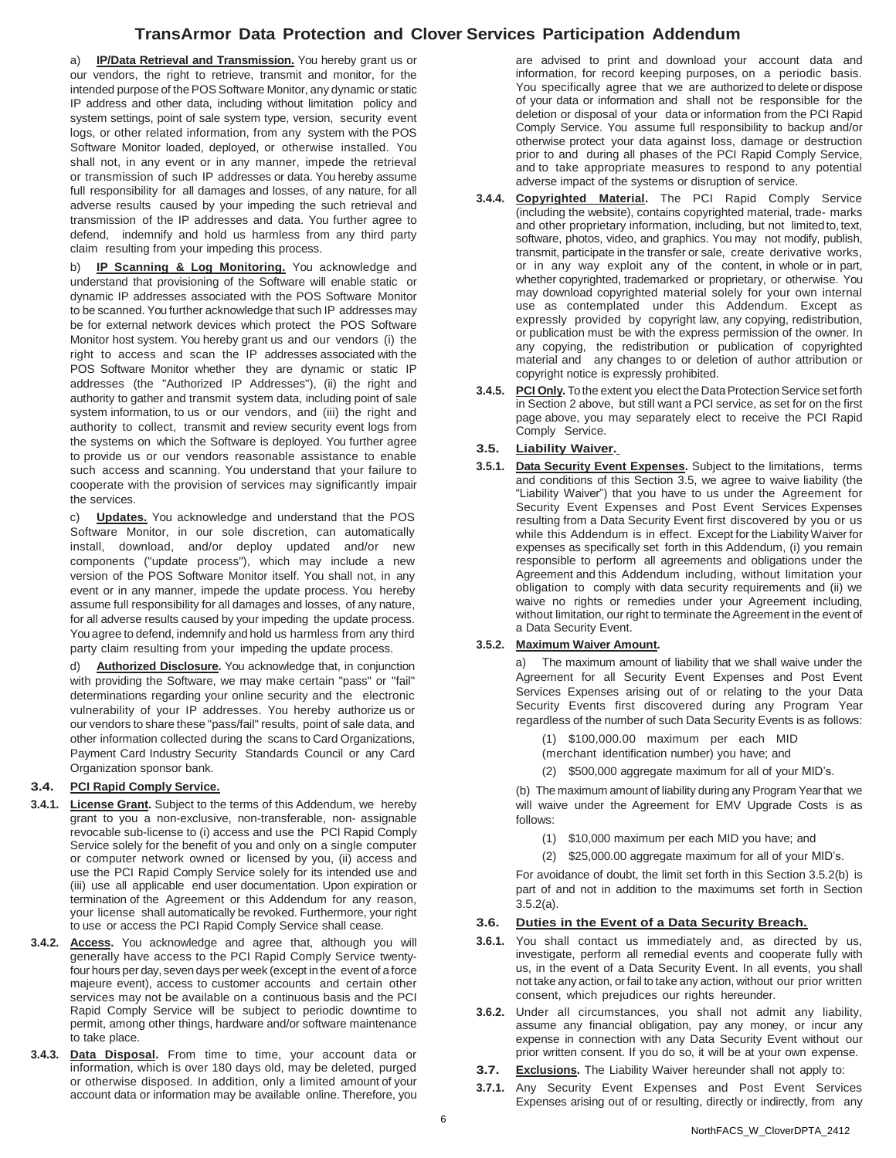a) **IP/Data Retrieval and Transmission.** You hereby grant us or our vendors, the right to retrieve, transmit and monitor, for the intended purpose of the POS Software Monitor, any dynamic or static IP address and other data, including without limitation policy and system settings, point of sale system type, version, security event logs, or other related information, from any system with the POS Software Monitor loaded, deployed, or otherwise installed. You shall not, in any event or in any manner, impede the retrieval or transmission of such IP addresses or data. You hereby assume full responsibility for all damages and losses, of any nature, for all adverse results caused by your impeding the such retrieval and transmission of the IP addresses and data. You further agree to defend, indemnify and hold us harmless from any third party claim resulting from your impeding this process.

b) **IP Scanning & Log Monitoring.** You acknowledge and understand that provisioning of the Software will enable static or dynamic IP addresses associated with the POS Software Monitor to be scanned. You further acknowledge that such IP addresses may be for external network devices which protect the POS Software Monitor host system. You hereby grant us and our vendors (i) the right to access and scan the IP addresses associated with the POS Software Monitor whether they are dynamic or static IP addresses (the "Authorized IP Addresses"), (ii) the right and authority to gather and transmit system data, including point of sale system information, to us or our vendors, and (iii) the right and authority to collect, transmit and review security event logs from the systems on which the Software is deployed. You further agree to provide us or our vendors reasonable assistance to enable such access and scanning. You understand that your failure to cooperate with the provision of services may significantly impair the services.

c) **Updates.** You acknowledge and understand that the POS Software Monitor, in our sole discretion, can automatically install, download, and/or deploy updated and/or new components ("update process"), which may include a new version of the POS Software Monitor itself. You shall not, in any event or in any manner, impede the update process. You hereby assume full responsibility for all damages and losses, of any nature, for all adverse results caused by your impeding the update process. You agree to defend, indemnify and hold us harmless from any third party claim resulting from your impeding the update process.

d) **Authorized Disclosure.** You acknowledge that, in conjunction with providing the Software, we may make certain "pass" or "fail" determinations regarding your online security and the electronic vulnerability of your IP addresses. You hereby authorize us or our vendors to share these "pass/fail" results, point of sale data, and other information collected during the scans to Card Organizations, Payment Card Industry Security Standards Council or any Card Organization sponsor bank.

#### **3.4. PCI Rapid Comply Service.**

- **3.4.1. License Grant.** Subject to the terms of this Addendum, we hereby grant to you a non-exclusive, non-transferable, non- assignable revocable sub-license to (i) access and use the PCI Rapid Comply Service solely for the benefit of you and only on a single computer or computer network owned or licensed by you, (ii) access and use the PCI Rapid Comply Service solely for its intended use and (iii) use all applicable end user documentation. Upon expiration or termination of the Agreement or this Addendum for any reason, your license shall automatically be revoked. Furthermore, your right to use or access the PCI Rapid Comply Service shall cease.
- **3.4.2. Access.** You acknowledge and agree that, although you will generally have access to the PCI Rapid Comply Service twentyfour hours per day, seven days per week (except in the event of a force majeure event), access to customer accounts and certain other services may not be available on a continuous basis and the PCI Rapid Comply Service will be subject to periodic downtime to permit, among other things, hardware and/or software maintenance to take place.
- **3.4.3. Data Disposal.** From time to time, your account data or information, which is over 180 days old, may be deleted, purged or otherwise disposed. In addition, only a limited amount of your account data or information may be available online. Therefore, you

are advised to print and download your account data and information, for record keeping purposes, on a periodic basis. You specifically agree that we are authorized to delete or dispose of your data or information and shall not be responsible for the deletion or disposal of your data or information from the PCI Rapid Comply Service. You assume full responsibility to backup and/or otherwise protect your data against loss, damage or destruction prior to and during all phases of the PCI Rapid Comply Service, and to take appropriate measures to respond to any potential adverse impact of the systems or disruption of service.

- **3.4.4. Copyrighted Material.** The PCI Rapid Comply Service (including the website), contains copyrighted material, trade- marks and other proprietary information, including, but not limited to, text, software, photos, video, and graphics. You may not modify, publish, transmit, participate in the transfer or sale, create derivative works, or in any way exploit any of the content, in whole or in part, whether copyrighted, trademarked or proprietary, or otherwise. You may download copyrighted material solely for your own internal use as contemplated under this Addendum. Except as expressly provided by copyright law, any copying, redistribution, or publication must be with the express permission of the owner. In any copying, the redistribution or publication of copyrighted material and any changes to or deletion of author attribution or copyright notice is expressly prohibited.
- **3.4.5. PCI Only.** To the extent you elect the Data Protection Service set forth in Section 2 above, but still want a PCI service, as set for on the first page above, you may separately elect to receive the PCI Rapid Comply Service.

### **3.5. Liability Waiver.**

**3.5.1. Data Security Event Expenses.** Subject to the limitations, terms and conditions of this Section 3.5, we agree to waive liability (the "Liability Waiver") that you have to us under the Agreement for Security Event Expenses and Post Event Services Expenses resulting from a Data Security Event first discovered by you or us while this Addendum is in effect. Except for the Liability Waiver for expenses as specifically set forth in this Addendum, (i) you remain responsible to perform all agreements and obligations under the Agreement and this Addendum including, without limitation your obligation to comply with data security requirements and (ii) we waive no rights or remedies under your Agreement including, without limitation, our right to terminate the Agreement in the event of a Data Security Event.

#### **3.5.2. Maximum Waiver Amount.**

a) The maximum amount of liability that we shall waive under the Agreement for all Security Event Expenses and Post Event Services Expenses arising out of or relating to the your Data Security Events first discovered during any Program Year regardless of the number of such Data Security Events is as follows:

(1) \$100,000.00 maximum per each MID (merchant identification number) you have; and

\$500,000 aggregate maximum for all of your MID's.

(b) The maximum amount of liability during any Program Yearthat we

will waive under the Agreement for EMV Upgrade Costs is as follows:

- (1) \$10,000 maximum per each MID you have; and
- (2) \$25,000.00 aggregate maximum for all of your MID's.

For avoidance of doubt, the limit set forth in this Section 3.5.2(b) is part of and not in addition to the maximums set forth in Section 3.5.2(a).

#### **3.6. Duties in the Event of a Data Security Breach.**

- **3.6.1.** You shall contact us immediately and, as directed by us, investigate, perform all remedial events and cooperate fully with us, in the event of a Data Security Event. In all events, you shall not take any action, orfail to take any action, without our prior written consent, which prejudices our rights hereunder.
- **3.6.2.** Under all circumstances, you shall not admit any liability, assume any financial obligation, pay any money, or incur any expense in connection with any Data Security Event without our prior written consent. If you do so, it will be at your own expense.
- **3.7. Exclusions.** The Liability Waiver hereunder shall not apply to:
- **3.7.1.** Any Security Event Expenses and Post Event Services Expenses arising out of or resulting, directly or indirectly, from any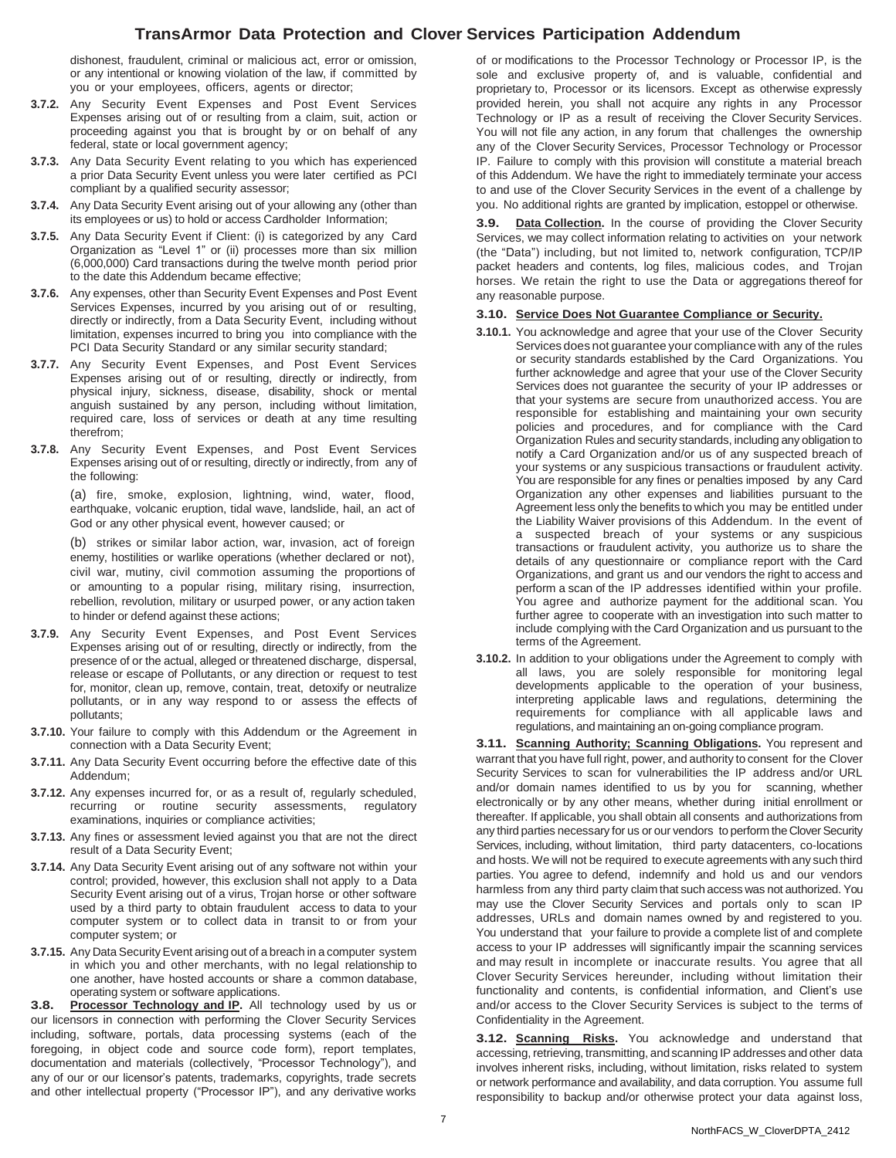dishonest, fraudulent, criminal or malicious act, error or omission, or any intentional or knowing violation of the law, if committed by you or your employees, officers, agents or director;

- **3.7.2.** Any Security Event Expenses and Post Event Services Expenses arising out of or resulting from a claim, suit, action or proceeding against you that is brought by or on behalf of any federal, state or local government agency;
- **3.7.3.** Any Data Security Event relating to you which has experienced a prior Data Security Event unless you were later certified as PCI compliant by a qualified security assessor;
- **3.7.4.** Any Data Security Event arising out of your allowing any (other than its employees or us) to hold or access Cardholder Information;
- **3.7.5.** Any Data Security Event if Client: (i) is categorized by any Card Organization as "Level 1" or (ii) processes more than six million (6,000,000) Card transactions during the twelve month period prior to the date this Addendum became effective;
- **3.7.6.** Any expenses, other than Security Event Expenses and Post Event Services Expenses, incurred by you arising out of or resulting, directly or indirectly, from a Data Security Event, including without limitation, expenses incurred to bring you into compliance with the PCI Data Security Standard or any similar security standard;
- **3.7.7.** Any Security Event Expenses, and Post Event Services Expenses arising out of or resulting, directly or indirectly, from physical injury, sickness, disease, disability, shock or mental anguish sustained by any person, including without limitation, required care, loss of services or death at any time resulting therefrom;
- **3.7.8.** Any Security Event Expenses, and Post Event Services Expenses arising out of or resulting, directly or indirectly, from any of the following:

(a) fire, smoke, explosion, lightning, wind, water, flood, earthquake, volcanic eruption, tidal wave, landslide, hail, an act of God or any other physical event, however caused; or

(b) strikes or similar labor action, war, invasion, act of foreign enemy, hostilities or warlike operations (whether declared or not), civil war, mutiny, civil commotion assuming the proportions of or amounting to a popular rising, military rising, insurrection, rebellion, revolution, military or usurped power, or any action taken to hinder or defend against these actions;

- **3.7.9.** Any Security Event Expenses, and Post Event Services Expenses arising out of or resulting, directly or indirectly, from the presence of or the actual, alleged or threatened discharge, dispersal, release or escape of Pollutants, or any direction or request to test for, monitor, clean up, remove, contain, treat, detoxify or neutralize pollutants, or in any way respond to or assess the effects of pollutants;
- **3.7.10.** Your failure to comply with this Addendum or the Agreement in connection with a Data Security Event;
- **3.7.11.** Any Data Security Event occurring before the effective date of this Addendum;
- **3.7.12.** Any expenses incurred for, or as a result of, regularly scheduled, recurring or routine security assessments, regulatory examinations, inquiries or compliance activities;
- **3.7.13.** Any fines or assessment levied against you that are not the direct result of a Data Security Event;
- **3.7.14.** Any Data Security Event arising out of any software not within your control; provided, however, this exclusion shall not apply to a Data Security Event arising out of a virus, Trojan horse or other software used by a third party to obtain fraudulent access to data to your computer system or to collect data in transit to or from your computer system; or
- **3.7.15.** Any Data Security Event arising out of a breach in a computer system in which you and other merchants, with no legal relationship to one another, have hosted accounts or share a common database, operating system or software applications.

**3.8. Processor Technology and IP.** All technology used by us or our licensors in connection with performing the Clover Security Services including, software, portals, data processing systems (each of the foregoing, in object code and source code form), report templates, documentation and materials (collectively, "Processor Technology"), and any of our or our licensor's patents, trademarks, copyrights, trade secrets and other intellectual property ("Processor IP"), and any derivative works

of or modifications to the Processor Technology or Processor IP, is the sole and exclusive property of, and is valuable, confidential and proprietary to, Processor or its licensors. Except as otherwise expressly provided herein, you shall not acquire any rights in any Processor Technology or IP as a result of receiving the Clover Security Services. You will not file any action, in any forum that challenges the ownership any of the Clover Security Services, Processor Technology or Processor IP. Failure to comply with this provision will constitute a material breach of this Addendum. We have the right to immediately terminate your access to and use of the Clover Security Services in the event of a challenge by you. No additional rights are granted by implication, estoppel or otherwise.

**3.9. Data Collection.** In the course of providing the Clover Security Services, we may collect information relating to activities on your network (the "Data") including, but not limited to, network configuration, TCP/IP packet headers and contents, log files, malicious codes, and Trojan horses. We retain the right to use the Data or aggregations thereof for any reasonable purpose.

#### **3.10. Service Does Not Guarantee Compliance or Security.**

- **3.10.1.** You acknowledge and agree that your use of the Clover Security Services does not guarantee your compliance with any of the rules or security standards established by the Card Organizations. You further acknowledge and agree that your use of the Clover Security Services does not guarantee the security of your IP addresses or that your systems are secure from unauthorized access. You are responsible for establishing and maintaining your own security policies and procedures, and for compliance with the Card Organization Rules and security standards, including any obligation to notify a Card Organization and/or us of any suspected breach of your systems or any suspicious transactions or fraudulent activity. You are responsible for any fines or penalties imposed by any Card Organization any other expenses and liabilities pursuant to the Agreement less only the benefits to which you may be entitled under the Liability Waiver provisions of this Addendum. In the event of a suspected breach of your systems or any suspicious transactions or fraudulent activity, you authorize us to share the details of any questionnaire or compliance report with the Card Organizations, and grant us and our vendors the right to access and perform a scan of the IP addresses identified within your profile. You agree and authorize payment for the additional scan. You further agree to cooperate with an investigation into such matter to include complying with the Card Organization and us pursuant to the terms of the Agreement.
- **3.10.2.** In addition to your obligations under the Agreement to comply with all laws, you are solely responsible for monitoring legal developments applicable to the operation of your business, interpreting applicable laws and regulations, determining the requirements for compliance with all applicable laws and regulations, and maintaining an on-going compliance program.

**3.11. Scanning Authority; Scanning Obligations.** You represent and warrant that you have full right, power, and authority to consent for the Clover Security Services to scan for vulnerabilities the IP address and/or URL and/or domain names identified to us by you for scanning, whether electronically or by any other means, whether during initial enrollment or thereafter. If applicable, you shall obtain all consents and authorizations from any third parties necessary for us or our vendors to perform the Clover Security Services, including, without limitation, third party datacenters, co-locations and hosts. We will not be required to execute agreements with any such third parties. You agree to defend, indemnify and hold us and our vendors harmless from any third party claim that such access was not authorized. You may use the Clover Security Services and portals only to scan IP addresses, URLs and domain names owned by and registered to you. You understand that your failure to provide a complete list of and complete access to your IP addresses will significantly impair the scanning services and may result in incomplete or inaccurate results. You agree that all Clover Security Services hereunder, including without limitation their functionality and contents, is confidential information, and Client's use and/or access to the Clover Security Services is subject to the terms of Confidentiality in the Agreement.

**3.12. Scanning Risks.** You acknowledge and understand that accessing, retrieving, transmitting, and scanning IP addresses and other data involves inherent risks, including, without limitation, risks related to system or network performance and availability, and data corruption. You assume full responsibility to backup and/or otherwise protect your data against loss,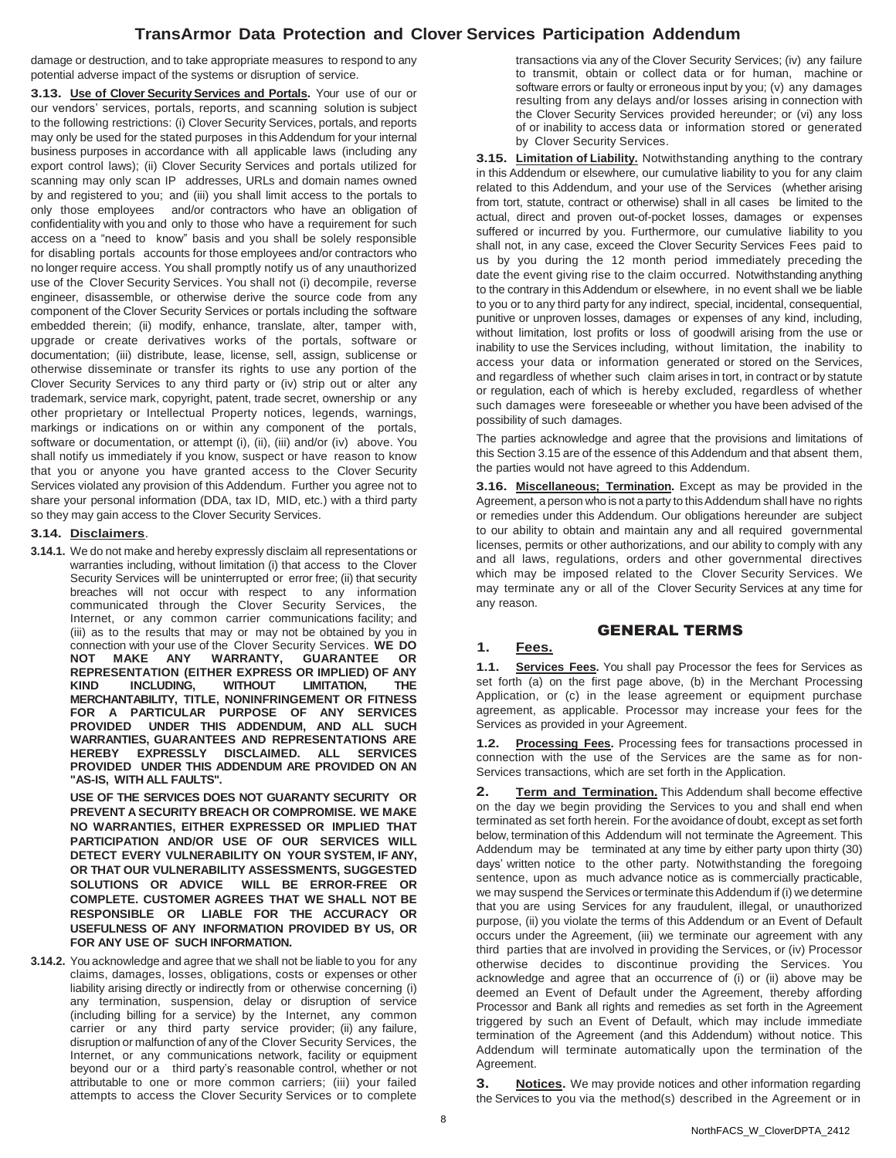damage or destruction, and to take appropriate measures to respond to any potential adverse impact of the systems or disruption of service.

**3.13. Use of Clover Security Services and Portals.** Your use of our or our vendors' services, portals, reports, and scanning solution is subject to the following restrictions: (i) Clover Security Services, portals, and reports may only be used for the stated purposes in this Addendum for your internal business purposes in accordance with all applicable laws (including any export control laws); (ii) Clover Security Services and portals utilized for scanning may only scan IP addresses, URLs and domain names owned by and registered to you; and (iii) you shall limit access to the portals to only those employees and/or contractors who have an obligation of confidentiality with you and only to those who have a requirement for such access on a "need to know" basis and you shall be solely responsible for disabling portals accounts for those employees and/or contractors who no longer require access. You shall promptly notify us of any unauthorized use of the Clover Security Services. You shall not (i) decompile, reverse engineer, disassemble, or otherwise derive the source code from any component of the Clover Security Services or portals including the software embedded therein; (ii) modify, enhance, translate, alter, tamper with, upgrade or create derivatives works of the portals, software or documentation; (iii) distribute, lease, license, sell, assign, sublicense or otherwise disseminate or transfer its rights to use any portion of the Clover Security Services to any third party or (iv) strip out or alter any trademark, service mark, copyright, patent, trade secret, ownership or any other proprietary or Intellectual Property notices, legends, warnings, markings or indications on or within any component of the portals, software or documentation, or attempt (i), (ii), (iii) and/or (iv) above. You shall notify us immediately if you know, suspect or have reason to know that you or anyone you have granted access to the Clover Security Services violated any provision of this Addendum. Further you agree not to share your personal information (DDA, tax ID, MID, etc.) with a third party so they may gain access to the Clover Security Services.

#### **3.14. Disclaimers**.

**3.14.1.** We do not make and hereby expressly disclaim all representations or warranties including, without limitation (i) that access to the Clover Security Services will be uninterrupted or error free; (ii) that security breaches will not occur with respect to any information communicated through the Clover Security Services, the Internet, or any common carrier communications facility; and (iii) as to the results that may or may not be obtained by you in connection with your use of the Clover Security Services. **WE DO NOT MAKE ANY WARRANTY, GUARANTEE OR REPRESENTATION (EITHER EXPRESS OR IMPLIED) OF ANY KIND INCLUDING, WITHOUT LIMITATION, THE MERCHANTABILITY, TITLE, NONINFRINGEMENT OR FITNESS FOR A PARTICULAR PURPOSE OF ANY SERVICES PROVIDED UNDER THIS ADDENDUM, AND ALL SUCH WARRANTIES, GUARANTEES AND REPRESENTATIONS ARE HEREBY EXPRESSLY DISCLAIMED. ALL SERVICES PROVIDED UNDER THIS ADDENDUM ARE PROVIDED ON AN "AS-IS, WITH ALL FAULTS".** 

**USE OF THE SERVICES DOES NOT GUARANTY SECURITY OR PREVENT A SECURITY BREACH OR COMPROMISE. WE MAKE NO WARRANTIES, EITHER EXPRESSED OR IMPLIED THAT PARTICIPATION AND/OR USE OF OUR SERVICES WILL DETECT EVERY VULNERABILITY ON YOUR SYSTEM, IF ANY, OR THAT OUR VULNERABILITY ASSESSMENTS, SUGGESTED SOLUTIONS OR ADVICE WILL BE ERROR-FREE OR COMPLETE. CUSTOMER AGREES THAT WE SHALL NOT BE RESPONSIBLE OR LIABLE FOR THE ACCURACY OR USEFULNESS OF ANY INFORMATION PROVIDED BY US, OR FOR ANY USE OF SUCH INFORMATION.**

**3.14.2.** You acknowledge and agree that we shall not be liable to you for any claims, damages, losses, obligations, costs or expenses or other liability arising directly or indirectly from or otherwise concerning (i) any termination, suspension, delay or disruption of service (including billing for a service) by the Internet, any common carrier or any third party service provider; (ii) any failure, disruption or malfunction of any of the Clover Security Services, the Internet, or any communications network, facility or equipment beyond our or a third party's reasonable control, whether or not attributable to one or more common carriers; (iii) your failed attempts to access the Clover Security Services or to complete

transactions via any of the Clover Security Services; (iv) any failure to transmit, obtain or collect data or for human, machine or software errors or faulty or erroneous input by you; (v) any damages resulting from any delays and/or losses arising in connection with the Clover Security Services provided hereunder; or (vi) any loss of or inability to access data or information stored or generated by Clover Security Services.

**3.15. Limitation of Liability.** Notwithstanding anything to the contrary in this Addendum or elsewhere, our cumulative liability to you for any claim related to this Addendum, and your use of the Services (whether arising from tort, statute, contract or otherwise) shall in all cases be limited to the actual, direct and proven out-of-pocket losses, damages or expenses suffered or incurred by you. Furthermore, our cumulative liability to you shall not, in any case, exceed the Clover Security Services Fees paid to us by you during the 12 month period immediately preceding the date the event giving rise to the claim occurred. Notwithstanding anything to the contrary in this Addendum or elsewhere, in no event shall we be liable to you or to any third party for any indirect, special, incidental, consequential, punitive or unproven losses, damages or expenses of any kind, including, without limitation, lost profits or loss of goodwill arising from the use or inability to use the Services including, without limitation, the inability to access your data or information generated or stored on the Services, and regardless of whether such claim arises in tort, in contract or by statute or regulation, each of which is hereby excluded, regardless of whether such damages were foreseeable or whether you have been advised of the possibility of such damages.

The parties acknowledge and agree that the provisions and limitations of this Section 3.15 are of the essence of this Addendum and that absent them, the parties would not have agreed to this Addendum.

**3.16. Miscellaneous; Termination.** Except as may be provided in the Agreement, a person who is not a party to this Addendum shall have no rights or remedies under this Addendum. Our obligations hereunder are subject to our ability to obtain and maintain any and all required governmental licenses, permits or other authorizations, and our ability to comply with any and all laws, regulations, orders and other governmental directives which may be imposed related to the Clover Security Services. We may terminate any or all of the Clover Security Services at any time for any reason.

#### GENERAL TERMS

#### **1. Fees.**

**1.1. Services Fees.** You shall pay Processor the fees for Services as set forth (a) on the first page above, (b) in the Merchant Processing Application, or (c) in the lease agreement or equipment purchase agreement, as applicable. Processor may increase your fees for the Services as provided in your Agreement.

**1.2. Processing Fees.** Processing fees for transactions processed in connection with the use of the Services are the same as for non-Services transactions, which are set forth in the Application.

**2. Term and Termination.** This Addendum shall become effective on the day we begin providing the Services to you and shall end when terminated as set forth herein. Forthe avoidance of doubt, except as set forth below, termination of this Addendum will not terminate the Agreement. This Addendum may be terminated at any time by either party upon thirty (30) days' written notice to the other party. Notwithstanding the foregoing sentence, upon as much advance notice as is commercially practicable, we may suspend the Services or terminate this Addendum if (i) we determine that you are using Services for any fraudulent, illegal, or unauthorized purpose, (ii) you violate the terms of this Addendum or an Event of Default occurs under the Agreement, (iii) we terminate our agreement with any third parties that are involved in providing the Services, or (iv) Processor otherwise decides to discontinue providing the Services. You acknowledge and agree that an occurrence of (i) or (ii) above may be deemed an Event of Default under the Agreement, thereby affording Processor and Bank all rights and remedies as set forth in the Agreement triggered by such an Event of Default, which may include immediate termination of the Agreement (and this Addendum) without notice. This Addendum will terminate automatically upon the termination of the Agreement.

**3. Notices.** We may provide notices and other information regarding the Services to you via the method(s) described in the Agreement or in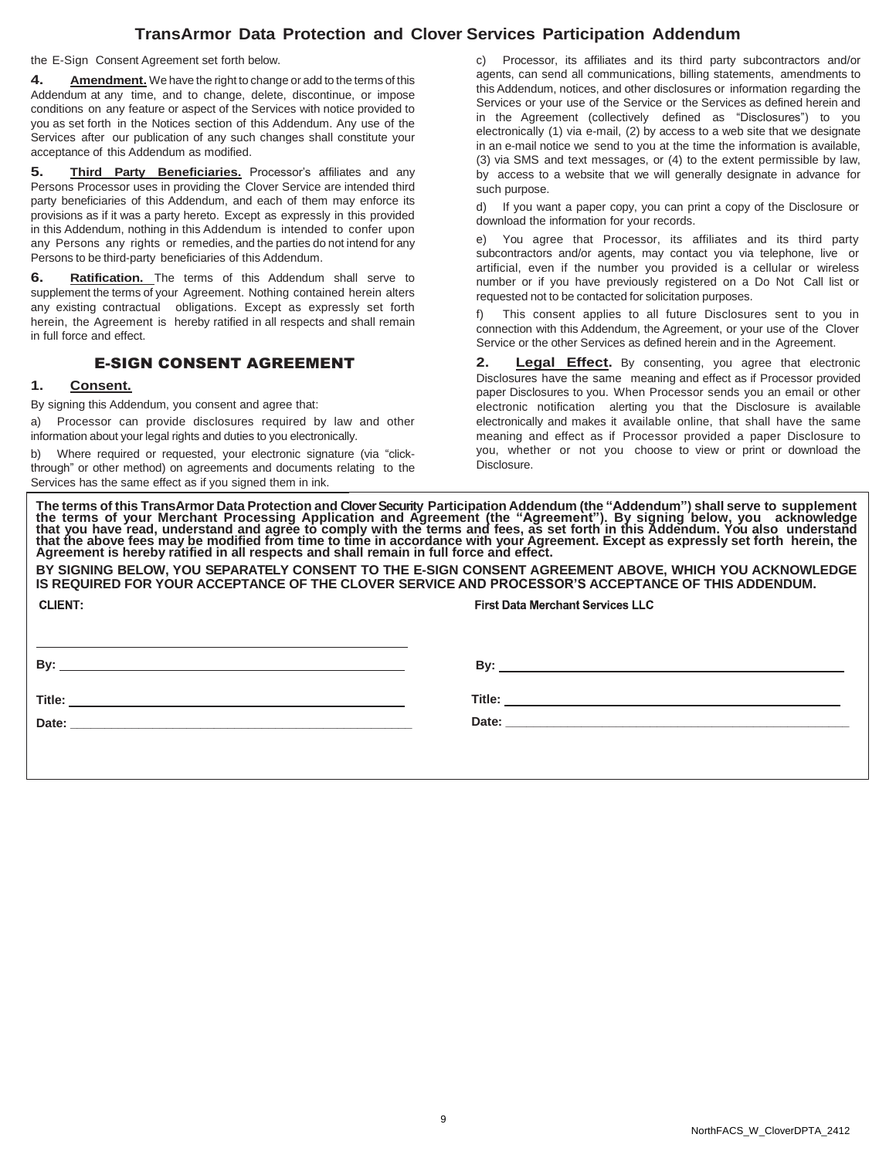the E-Sign Consent Agreement set forth below.

**4. Amendment.** We have the right to change or add to the terms of this Addendum at any time, and to change, delete, discontinue, or impose conditions on any feature or aspect of the Services with notice provided to you as set forth in the Notices section of this Addendum. Any use of the Services after our publication of any such changes shall constitute your acceptance of this Addendum as modified.

**5. Third Party Beneficiaries.** Processor's affiliates and any Persons Processor uses in providing the Clover Service are intended third party beneficiaries of this Addendum, and each of them may enforce its provisions as if it was a party hereto. Except as expressly in this provided in this Addendum, nothing in this Addendum is intended to confer upon any Persons any rights or remedies, and the parties do not intend for any Persons to be third-party beneficiaries of this Addendum.

**6. Ratification.** The terms of this Addendum shall serve to supplement the terms of your Agreement. Nothing contained herein alters any existing contractual obligations. Except as expressly set forth herein, the Agreement is hereby ratified in all respects and shall remain in full force and effect.

## E-SIGN CONSENT AGREEMENT

### **1. Consent.**

By signing this Addendum, you consent and agree that:

a) Processor can provide disclosures required by law and other information about your legal rights and duties to you electronically.

b) Where required or requested, your electronic signature (via "clickthrough" or other method) on agreements and documents relating to the Services has the same effect as if you signed them in ink.

c) Processor, its affiliates and its third party subcontractors and/or agents, can send all communications, billing statements, amendments to this Addendum, notices, and other disclosures or information regarding the Services or your use of the Service or the Services as defined herein and in the Agreement (collectively defined as "Disclosures") to you electronically (1) via e-mail, (2) by access to a web site that we designate in an e-mail notice we send to you at the time the information is available, (3) via SMS and text messages, or (4) to the extent permissible by law, by access to a website that we will generally designate in advance for such purpose.

d) If you want a paper copy, you can print a copy of the Disclosure or download the information for your records.

e) You agree that Processor, its affiliates and its third party subcontractors and/or agents, may contact you via telephone, live or artificial, even if the number you provided is a cellular or wireless number or if you have previously registered on a Do Not Call list or requested not to be contacted for solicitation purposes.

f) This consent applies to all future Disclosures sent to you in connection with this Addendum, the Agreement, or your use of the Clover Service or the other Services as defined herein and in the Agreement.

**Legal Effect.** By consenting, you agree that electronic Disclosures have the same meaning and effect as if Processor provided paper Disclosures to you. When Processor sends you an email or other electronic notification alerting you that the Disclosure is available electronically and makes it available online, that shall have the same meaning and effect as if Processor provided a paper Disclosure to you, whether or not you choose to view or print or download the **Disclosure** 

The terms of this TransArmor Data Protection and Clover Security Participation Addendum (the "Addendum") shall serve to supplement<br>the terms of your Merchant Processing Application and Agreement (the "Agreement"). By signi **BY SIGNING BELOW, YOU SEPARATELY CONSENT TO THE E-SIGN CONSENT AGREEMENT ABOVE, WHICH YOU ACKNOWLEDGE**

**IS REQUIRED FOR YOUR ACCEPTANCE OF THE CLOVER SERVICE AND PROCESSOR'S ACCEPTANCE OF THIS ADDENDUM.** CLIENT: **First Data Merchant Services LLC** 

**By: By:** 

**Title:** 

**Date: \_\_\_\_\_\_\_\_\_\_\_\_\_\_\_\_\_\_\_\_\_\_\_\_\_\_\_\_\_\_\_\_\_\_\_\_\_\_\_\_\_\_\_\_\_\_\_\_\_\_**

**Title:** 

**Date: \_\_\_\_\_\_\_\_\_\_\_\_\_\_\_\_\_\_\_\_\_\_\_\_\_\_\_\_\_\_\_\_\_\_\_\_\_\_\_\_\_\_\_\_\_\_\_\_\_\_**